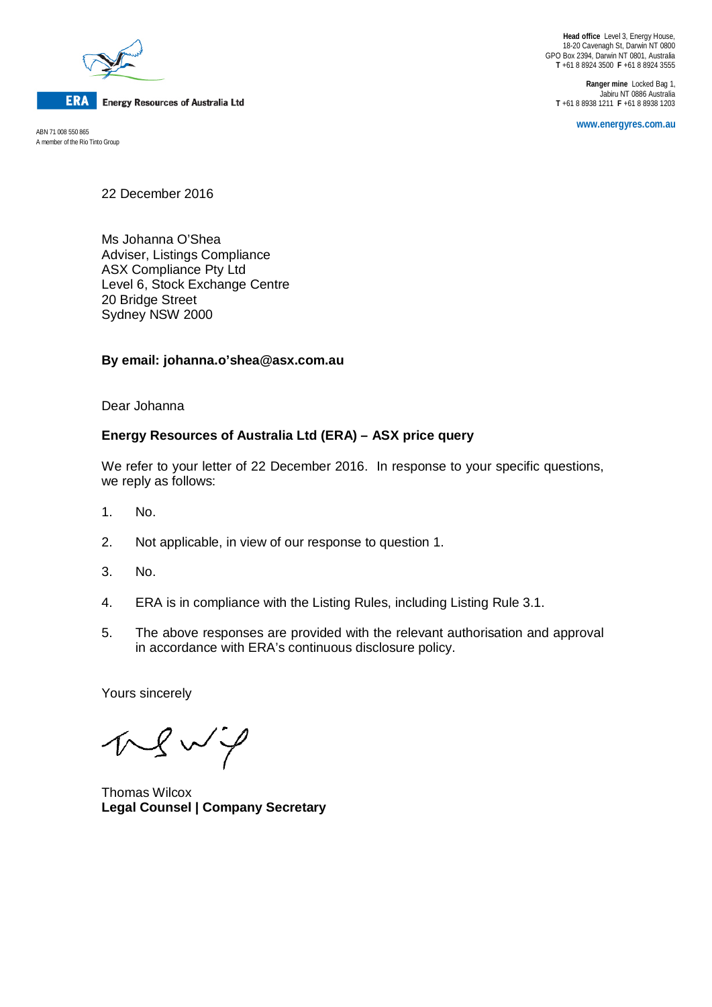

**ERA Energy Resources of Australia Ltd** 

A member of the Rio Tinto Group

**Head office** Level 3, Energy House, 18-20 Cavenagh St, Darwin NT 0800 GPO Box 2394, Darwin NT 0801, Australia **T** +61 8 8924 3500 **F** +61 8 8924 3555

**Ranger mine** Locked Bag 1, Jabiru NT 0886 Australia **T** +61 8 8938 1211 **F** +61 8 8938 1203

**www.energyres.com.au** ABN 71 008 550 865

22 December 2016

Ms Johanna O'Shea Adviser, Listings Compliance ASX Compliance Pty Ltd Level 6, Stock Exchange Centre 20 Bridge Street Sydney NSW 2000

## **By email: johanna.o'shea@asx.com.au**

Dear Johanna

# **Energy Resources of Australia Ltd (ERA) – ASX price query**

We refer to your letter of 22 December 2016. In response to your specific questions, we reply as follows:

- 1. No.
- 2. Not applicable, in view of our response to question 1.
- 3. No.
- 4. ERA is in compliance with the Listing Rules, including Listing Rule 3.1.
- 5. The above responses are provided with the relevant authorisation and approval in accordance with ERA's continuous disclosure policy.

Yours sincerely

 $NQW$ 

Thomas Wilcox **Legal Counsel | Company Secretary**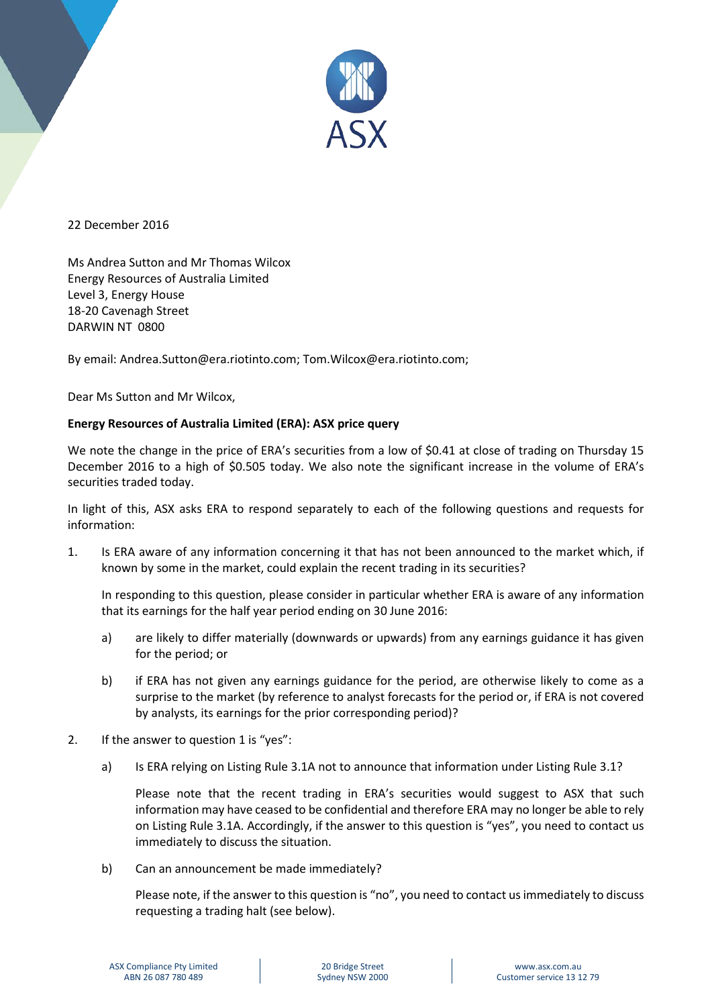

22 December 2016

Ms Andrea Sutton and Mr Thomas Wilcox Energy Resources of Australia Limited Level 3, Energy House 18-20 Cavenagh Street DARWIN NT 0800

By email: Andrea.Sutton@era.riotinto.com; Tom.Wilcox@era.riotinto.com;

Dear Ms Sutton and Mr Wilcox,

### **Energy Resources of Australia Limited (ERA): ASX price query**

We note the change in the price of ERA's securities from a low of \$0.41 at close of trading on Thursday 15 December 2016 to a high of \$0.505 today. We also note the significant increase in the volume of ERA's securities traded today.

In light of this, ASX asks ERA to respond separately to each of the following questions and requests for information:

1. Is ERA aware of any information concerning it that has not been announced to the market which, if known by some in the market, could explain the recent trading in its securities?

In responding to this question, please consider in particular whether ERA is aware of any information that its earnings for the half year period ending on 30 June 2016:

- a) are likely to differ materially (downwards or upwards) from any earnings guidance it has given for the period; or
- b) if ERA has not given any earnings guidance for the period, are otherwise likely to come as a surprise to the market (by reference to analyst forecasts for the period or, if ERA is not covered by analysts, its earnings for the prior corresponding period)?
- 2. If the answer to question 1 is "yes":
	- a) Is ERA relying on Listing Rule 3.1A not to announce that information under Listing Rule 3.1?

Please note that the recent trading in ERA's securities would suggest to ASX that such information may have ceased to be confidential and therefore ERA may no longer be able to rely on Listing Rule 3.1A. Accordingly, if the answer to this question is "yes", you need to contact us immediately to discuss the situation.

b) Can an announcement be made immediately?

Please note, if the answer to this question is "no", you need to contact us immediately to discuss requesting a trading halt (see below).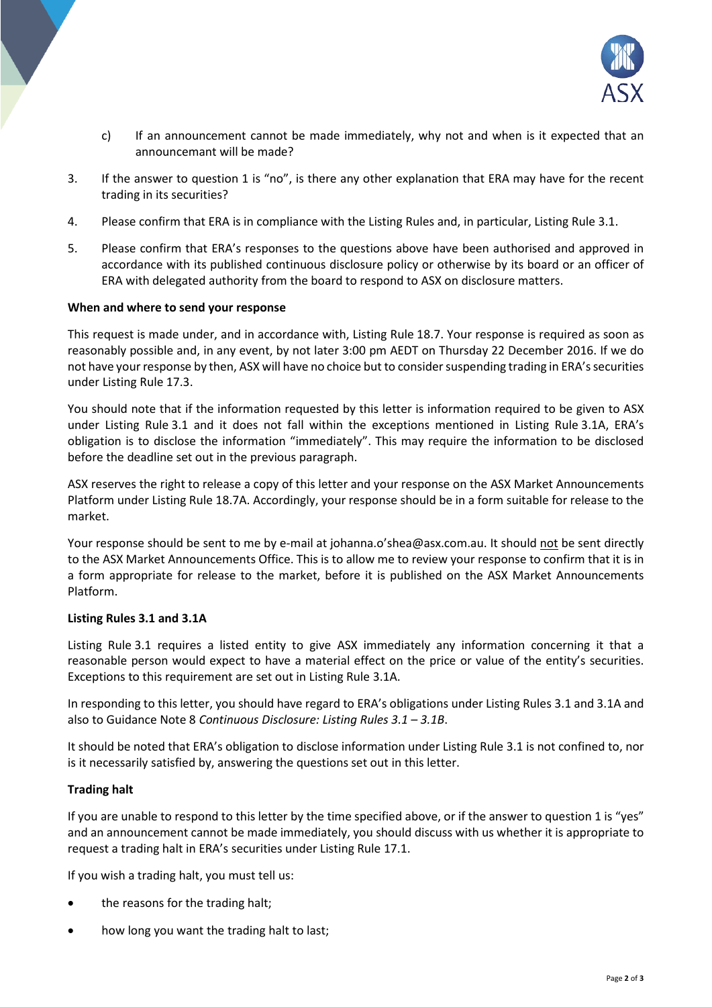

- c) If an announcement cannot be made immediately, why not and when is it expected that an announcemant will be made?
- 3. If the answer to question 1 is "no", is there any other explanation that ERA may have for the recent trading in its securities?
- 4. Please confirm that ERA is in compliance with the Listing Rules and, in particular, Listing Rule 3.1.
- 5. Please confirm that ERA's responses to the questions above have been authorised and approved in accordance with its published continuous disclosure policy or otherwise by its board or an officer of ERA with delegated authority from the board to respond to ASX on disclosure matters.

### **When and where to send your response**

This request is made under, and in accordance with, Listing Rule 18.7. Your response is required as soon as reasonably possible and, in any event, by not later 3:00 pm AEDT on Thursday 22 December 2016. If we do not have your response by then, ASX will have no choice but to consider suspending trading in ERA's securities under Listing Rule 17.3.

You should note that if the information requested by this letter is information required to be given to ASX under Listing Rule 3.1 and it does not fall within the exceptions mentioned in Listing Rule 3.1A, ERA's obligation is to disclose the information "immediately". This may require the information to be disclosed before the deadline set out in the previous paragraph.

ASX reserves the right to release a copy of this letter and your response on the ASX Market Announcements Platform under Listing Rule 18.7A. Accordingly, your response should be in a form suitable for release to the market.

Your response should be sent to me by e-mail at johanna.o'shea@asx.com.au. It should not be sent directly to the ASX Market Announcements Office. This is to allow me to review your response to confirm that it is in a form appropriate for release to the market, before it is published on the ASX Market Announcements Platform.

### **Listing Rules 3.1 and 3.1A**

Listing Rule 3.1 requires a listed entity to give ASX immediately any information concerning it that a reasonable person would expect to have a material effect on the price or value of the entity's securities. Exceptions to this requirement are set out in Listing Rule 3.1A.

In responding to this letter, you should have regard to ERA's obligations under Listing Rules 3.1 and 3.1A and also to Guidance Note 8 *Continuous Disclosure: Listing Rules 3.1 – 3.1B*.

It should be noted that ERA's obligation to disclose information under Listing Rule 3.1 is not confined to, nor is it necessarily satisfied by, answering the questions set out in this letter.

### **Trading halt**

If you are unable to respond to this letter by the time specified above, or if the answer to question 1 is "yes" and an announcement cannot be made immediately, you should discuss with us whether it is appropriate to request a trading halt in ERA's securities under Listing Rule 17.1.

If you wish a trading halt, you must tell us:

- the reasons for the trading halt;
- how long you want the trading halt to last;